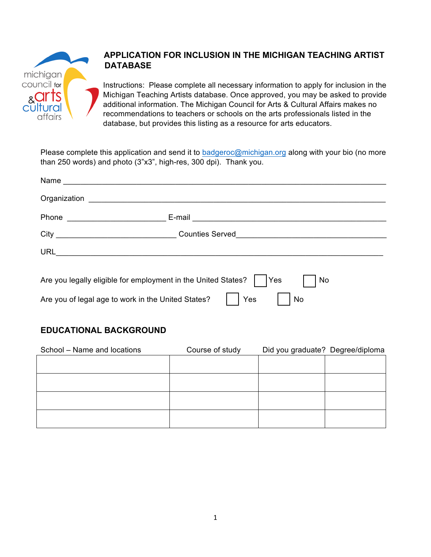

# **APPLICATION FOR INCLUSION IN THE MICHIGAN TEACHING ARTIST DATABASE**

Instructions: Please complete all necessary information to apply for inclusion in the Michigan Teaching Artists database. Once approved, you may be asked to provide additional information. The Michigan Council for Arts & Cultural Affairs makes no recommendations to teachers or schools on the arts professionals listed in the database, but provides this listing as a resource for arts educators.

Please complete this application and send it to badgeroc@michigan.org along with your bio (no more than 250 words) and photo (3"x3", high-res, 300 dpi). Thank you.

|                                                                              | City ___________________________________Counties Served_________________________ |  |  |
|------------------------------------------------------------------------------|----------------------------------------------------------------------------------|--|--|
|                                                                              |                                                                                  |  |  |
|                                                                              |                                                                                  |  |  |
| Are you legally eligible for employment in the United States?<br> Yes <br>No |                                                                                  |  |  |
| Are you of legal age to work in the United States?<br>Yes<br>No              |                                                                                  |  |  |

# **EDUCATIONAL BACKGROUND**

| School - Name and locations | Course of study | Did you graduate? Degree/diploma |  |
|-----------------------------|-----------------|----------------------------------|--|
|                             |                 |                                  |  |
|                             |                 |                                  |  |
|                             |                 |                                  |  |
|                             |                 |                                  |  |
|                             |                 |                                  |  |
|                             |                 |                                  |  |
|                             |                 |                                  |  |
|                             |                 |                                  |  |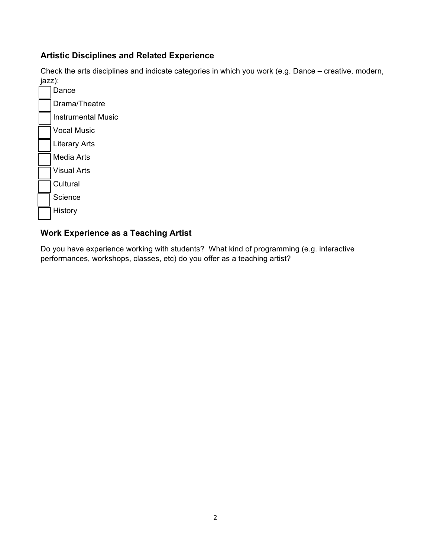### **Artistic Disciplines and Related Experience**

Check the arts disciplines and indicate categories in which you work (e.g. Dance – creative, modern, jazz):



# **Work Experience as a Teaching Artist**

Do you have experience working with students? What kind of programming (e.g. interactive performances, workshops, classes, etc) do you offer as a teaching artist?